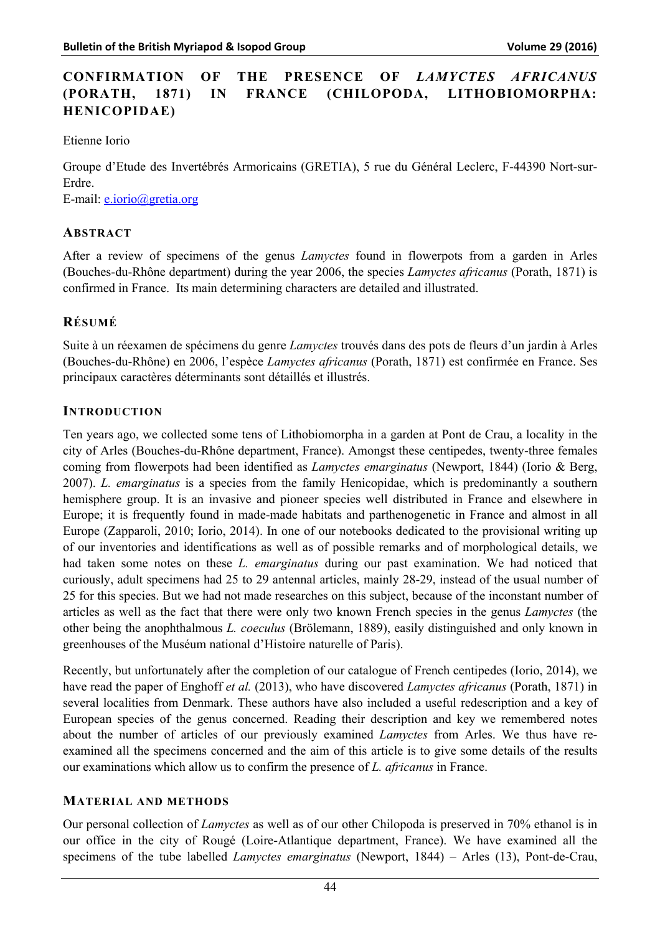# **CONFIRMATION OF THE PRESENCE OF** *LAMYCTES AFRICANUS* **(PORATH, 1871) IN FRANCE (CHILOPODA, LITHOBIOMORPHA: HENICOPIDAE)**

Etienne Iorio

Groupe d'Etude des Invertébrés Armoricains (GRETIA), 5 rue du Général Leclerc, F-44390 Nort-sur-Erdre.

E-mail: e.iorio@gretia.org

# **ABSTRACT**

After a review of specimens of the genus *Lamyctes* found in flowerpots from a garden in Arles (Bouches-du-Rhône department) during the year 2006, the species *Lamyctes africanus* (Porath, 1871) is confirmed in France. Its main determining characters are detailed and illustrated.

# **RÉSUMÉ**

Suite à un réexamen de spécimens du genre *Lamyctes* trouvés dans des pots de fleurs d'un jardin à Arles (Bouches-du-Rhône) en 2006, l'espèce *Lamyctes africanus* (Porath, 1871) est confirmée en France. Ses principaux caractères déterminants sont détaillés et illustrés.

# **INTRODUCTION**

Ten years ago, we collected some tens of Lithobiomorpha in a garden at Pont de Crau, a locality in the city of Arles (Bouches-du-Rhône department, France). Amongst these centipedes, twenty-three females coming from flowerpots had been identified as *Lamyctes emarginatus* (Newport, 1844) (Iorio & Berg, 2007). *L. emarginatus* is a species from the family Henicopidae, which is predominantly a southern hemisphere group. It is an invasive and pioneer species well distributed in France and elsewhere in Europe; it is frequently found in made-made habitats and parthenogenetic in France and almost in all Europe (Zapparoli, 2010; Iorio, 2014). In one of our notebooks dedicated to the provisional writing up of our inventories and identifications as well as of possible remarks and of morphological details, we had taken some notes on these *L. emarginatus* during our past examination. We had noticed that curiously, adult specimens had 25 to 29 antennal articles, mainly 28-29, instead of the usual number of 25 for this species. But we had not made researches on this subject, because of the inconstant number of articles as well as the fact that there were only two known French species in the genus *Lamyctes* (the other being the anophthalmous *L. coeculus* (Brölemann, 1889), easily distinguished and only known in greenhouses of the Muséum national d'Histoire naturelle of Paris).

Recently, but unfortunately after the completion of our catalogue of French centipedes (Iorio, 2014), we have read the paper of Enghoff *et al.* (2013), who have discovered *Lamyctes africanus* (Porath, 1871) in several localities from Denmark. These authors have also included a useful redescription and a key of European species of the genus concerned. Reading their description and key we remembered notes about the number of articles of our previously examined *Lamyctes* from Arles. We thus have reexamined all the specimens concerned and the aim of this article is to give some details of the results our examinations which allow us to confirm the presence of *L. africanus* in France.

# **MATERIAL AND METHODS**

Our personal collection of *Lamyctes* as well as of our other Chilopoda is preserved in 70% ethanol is in our office in the city of Rougé (Loire-Atlantique department, France). We have examined all the specimens of the tube labelled *Lamyctes emarginatus* (Newport, 1844) – Arles (13), Pont-de-Crau,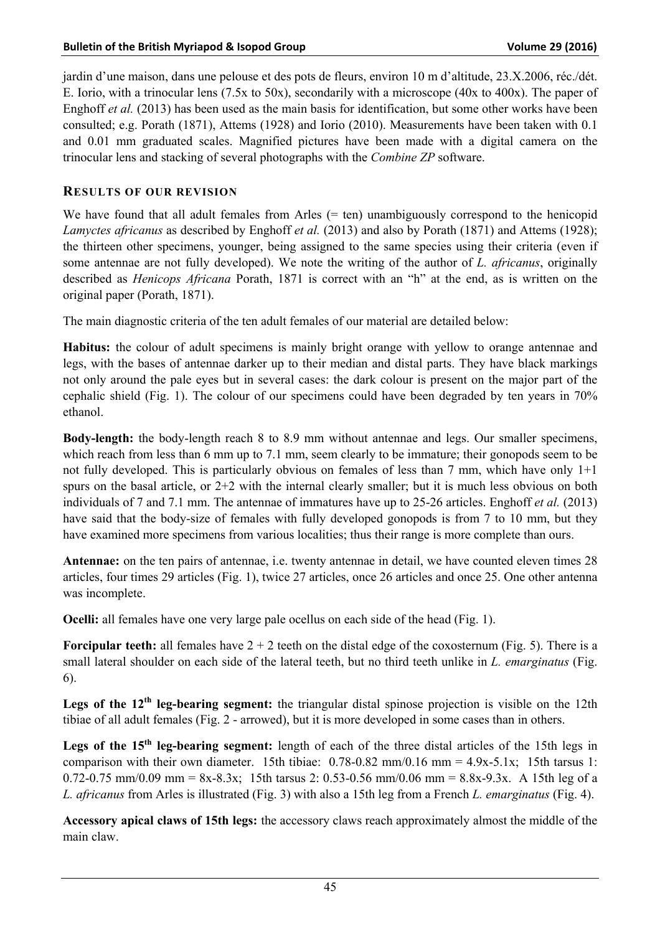jardin d'une maison, dans une pelouse et des pots de fleurs, environ 10 m d'altitude, 23.X.2006, réc./dét. E. Iorio, with a trinocular lens (7.5x to 50x), secondarily with a microscope (40x to 400x). The paper of Enghoff *et al.* (2013) has been used as the main basis for identification, but some other works have been consulted; e.g. Porath (1871), Attems (1928) and Iorio (2010). Measurements have been taken with 0.1 and 0.01 mm graduated scales. Magnified pictures have been made with a digital camera on the trinocular lens and stacking of several photographs with the *Combine ZP* software.

# **RESULTS OF OUR REVISION**

We have found that all adult females from Arles  $(= ten)$  unambiguously correspond to the henicopid *Lamyctes africanus* as described by Enghoff *et al.* (2013) and also by Porath (1871) and Attems (1928); the thirteen other specimens, younger, being assigned to the same species using their criteria (even if some antennae are not fully developed). We note the writing of the author of *L. africanus*, originally described as *Henicops Africana* Porath, 1871 is correct with an "h" at the end, as is written on the original paper (Porath, 1871).

The main diagnostic criteria of the ten adult females of our material are detailed below:

**Habitus:** the colour of adult specimens is mainly bright orange with yellow to orange antennae and legs, with the bases of antennae darker up to their median and distal parts. They have black markings not only around the pale eyes but in several cases: the dark colour is present on the major part of the cephalic shield (Fig. 1). The colour of our specimens could have been degraded by ten years in 70% ethanol.

**Body-length:** the body-length reach 8 to 8.9 mm without antennae and legs. Our smaller specimens, which reach from less than 6 mm up to 7.1 mm, seem clearly to be immature; their gonopods seem to be not fully developed. This is particularly obvious on females of less than 7 mm, which have only 1+1 spurs on the basal article, or  $2+2$  with the internal clearly smaller; but it is much less obvious on both individuals of 7 and 7.1 mm. The antennae of immatures have up to 25-26 articles. Enghoff *et al.* (2013) have said that the body-size of females with fully developed gonopods is from 7 to 10 mm, but they have examined more specimens from various localities; thus their range is more complete than ours.

**Antennae:** on the ten pairs of antennae, i.e. twenty antennae in detail, we have counted eleven times 28 articles, four times 29 articles (Fig. 1), twice 27 articles, once 26 articles and once 25. One other antenna was incomplete.

**Ocelli:** all females have one very large pale ocellus on each side of the head (Fig. 1).

**Forcipular teeth:** all females have  $2 + 2$  teeth on the distal edge of the coxosternum (Fig. 5). There is a small lateral shoulder on each side of the lateral teeth, but no third teeth unlike in *L. emarginatus* (Fig. 6).

Legs of the 12<sup>th</sup> leg-bearing segment: the triangular distal spinose projection is visible on the 12th tibiae of all adult females (Fig. 2 - arrowed), but it is more developed in some cases than in others.

Legs of the 15<sup>th</sup> leg-bearing segment: length of each of the three distal articles of the 15th legs in comparison with their own diameter. 15th tibiae:  $0.78-0.82$  mm/0.16 mm =  $4.9x-5.1x$ ; 15th tarsus 1: 0.72-0.75 mm/0.09 mm =  $8x-8.3x$ ; 15th tarsus 2: 0.53-0.56 mm/0.06 mm =  $8.8x-9.3x$ . A 15th leg of a *L. africanus* from Arles is illustrated (Fig. 3) with also a 15th leg from a French *L. emarginatus* (Fig. 4).

**Accessory apical claws of 15th legs:** the accessory claws reach approximately almost the middle of the main claw.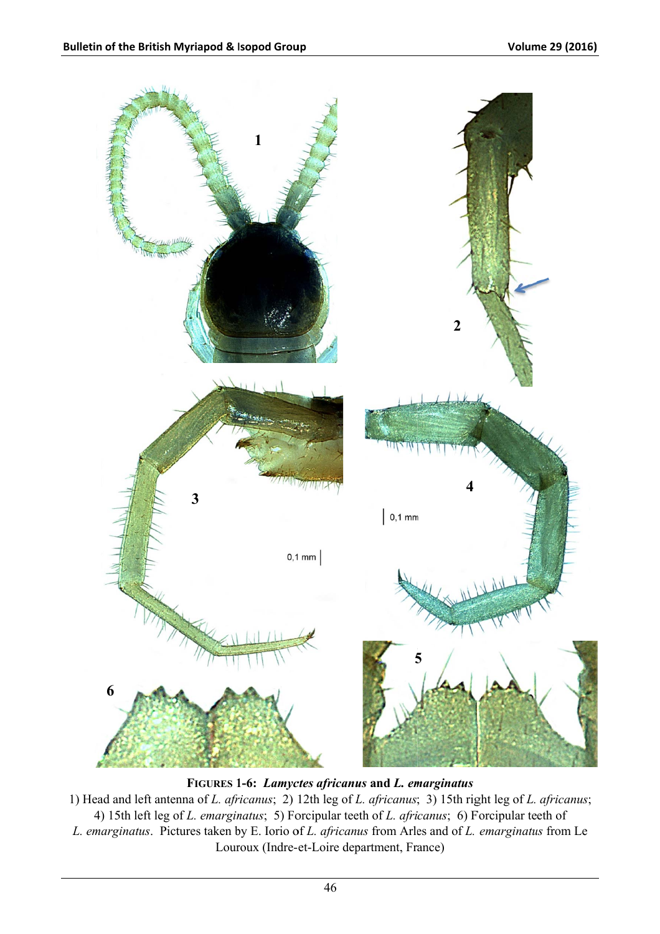

FIGURES 1-6: Lamyctes africanus and L. emarginatus

1) Head and left antenna of L. africanus; 2) 12th leg of L. africanus; 3) 15th right leg of L. africanus; 4) 15th left leg of *L. emarginatus*; 5) Forcipular teeth of *L. africanus*; 6) Forcipular teeth of L. emarginatus. Pictures taken by E. Iorio of L. africanus from Arles and of L. emarginatus from Le Louroux (Indre-et-Loire department, France)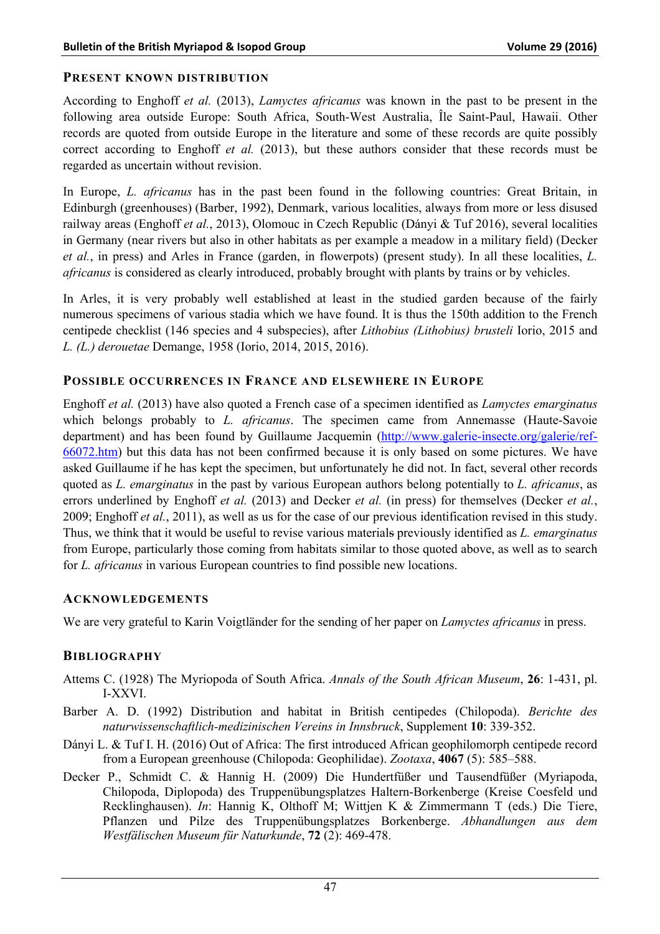# **PRESENT KNOWN DISTRIBUTION**

According to Enghoff *et al.* (2013), *Lamyctes africanus* was known in the past to be present in the following area outside Europe: South Africa, South-West Australia, Île Saint-Paul, Hawaii. Other records are quoted from outside Europe in the literature and some of these records are quite possibly correct according to Enghoff *et al.* (2013), but these authors consider that these records must be regarded as uncertain without revision.

In Europe, *L. africanus* has in the past been found in the following countries: Great Britain, in Edinburgh (greenhouses) (Barber, 1992), Denmark, various localities, always from more or less disused railway areas (Enghoff *et al.*, 2013), Olomouc in Czech Republic (Dányi & Tuf 2016), several localities in Germany (near rivers but also in other habitats as per example a meadow in a military field) (Decker *et al.*, in press) and Arles in France (garden, in flowerpots) (present study). In all these localities, *L. africanus* is considered as clearly introduced, probably brought with plants by trains or by vehicles.

In Arles, it is very probably well established at least in the studied garden because of the fairly numerous specimens of various stadia which we have found. It is thus the 150th addition to the French centipede checklist (146 species and 4 subspecies), after *Lithobius (Lithobius) brusteli* Iorio, 2015 and *L. (L.) derouetae* Demange, 1958 (Iorio, 2014, 2015, 2016).

#### **POSSIBLE OCCURRENCES IN FRANCE AND ELSEWHERE IN EUROPE**

Enghoff *et al.* (2013) have also quoted a French case of a specimen identified as *Lamyctes emarginatus*  which belongs probably to *L. africanus*. The specimen came from Annemasse (Haute-Savoie department) and has been found by Guillaume Jacquemin (http://www.galerie-insecte.org/galerie/ref-66072.htm) but this data has not been confirmed because it is only based on some pictures. We have asked Guillaume if he has kept the specimen, but unfortunately he did not. In fact, several other records quoted as *L. emarginatus* in the past by various European authors belong potentially to *L. africanus*, as errors underlined by Enghoff *et al.* (2013) and Decker *et al.* (in press) for themselves (Decker *et al.*, 2009; Enghoff *et al.*, 2011), as well as us for the case of our previous identification revised in this study. Thus, we think that it would be useful to revise various materials previously identified as *L. emarginatus*  from Europe, particularly those coming from habitats similar to those quoted above, as well as to search for *L. africanus* in various European countries to find possible new locations.

#### **ACKNOWLEDGEMENTS**

We are very grateful to Karin Voigtländer for the sending of her paper on *Lamyctes africanus* in press.

# **BIBLIOGRAPHY**

- Attems C. (1928) The Myriopoda of South Africa. *Annals of the South African Museum*, **26**: 1-431, pl. I-XXVI.
- Barber A. D. (1992) Distribution and habitat in British centipedes (Chilopoda). *Berichte des naturwissenschaftlich-medizinischen Vereins in Innsbruck*, Supplement **10**: 339-352.
- Dányi L. & Tuf I. H. (2016) Out of Africa: The first introduced African geophilomorph centipede record from a European greenhouse (Chilopoda: Geophilidae). *Zootaxa*, **4067** (5): 585–588.
- Decker P., Schmidt C. & Hannig H. (2009) Die Hundertfüßer und Tausendfüßer (Myriapoda, Chilopoda, Diplopoda) des Truppenübungsplatzes Haltern-Borkenberge (Kreise Coesfeld und Recklinghausen). *In*: Hannig K, Olthoff M; Wittjen K & Zimmermann T (eds.) Die Tiere, Pflanzen und Pilze des Truppenübungsplatzes Borkenberge. *Abhandlungen aus dem Westfälischen Museum für Naturkunde*, **72** (2): 469-478.